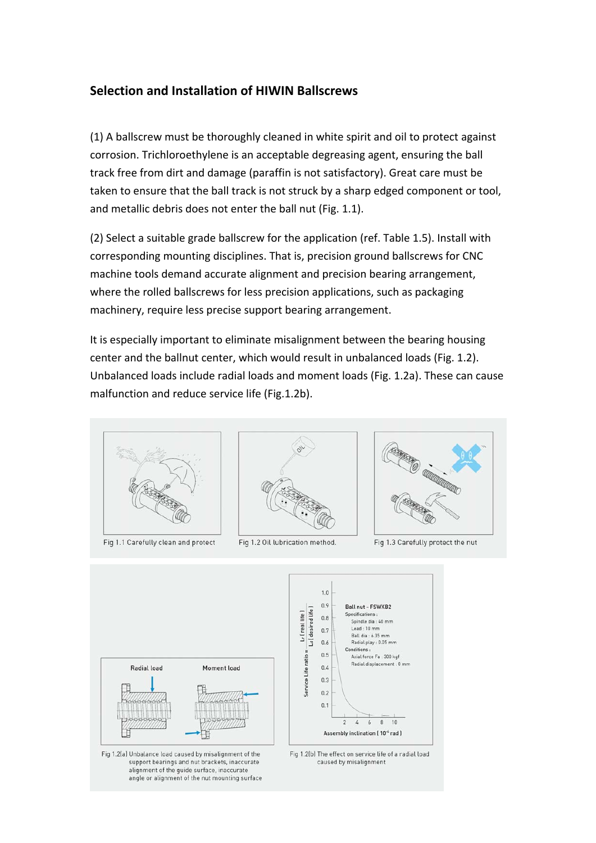## **Selection and Installation of HIWIN Ballscrews**

(1) A ballscrew must be thoroughly cleaned in white spirit and oil to protect against corrosion. Trichloroethylene is an acceptable degreasing agent, ensuring the ball track free from dirt and damage (paraffin is not satisfactory). Great care must be taken to ensure that the ball track is not struck by a sharp edged component or tool, and metallic debris does not enter the ball nut (Fig. 1.1).

(2) Select a suitable grade ballscrew for the application (ref. Table 1.5). Install with corresponding mounting disciplines. That is, precision ground ballscrews for CNC machine tools demand accurate alignment and precision bearing arrangement, where the rolled ballscrews for less precision applications, such as packaging machinery, require less precise support bearing arrangement.

It is especially important to eliminate misalignment between the bearing housing center and the ballnut center, which would result in unbalanced loads (Fig. 1.2). Unbalanced loads include radial loads and moment loads (Fig. 1.2a). These can cause malfunction and reduce service life (Fig.1.2b).



Fig 1.1 Carefully clean and protect



Fig 1.2 Oil lubrication method.



Fig 1.3 Carefully protect the nut



Fig 1.2(a) Unbalance load caused by misalignment of the support bearings and nut brackets, inaccurate alignment of the guide surface, inaccurate angle or alignment of the nut mounting surface



Fig 1.2(b) The effect on service life of a radial load caused by misalignment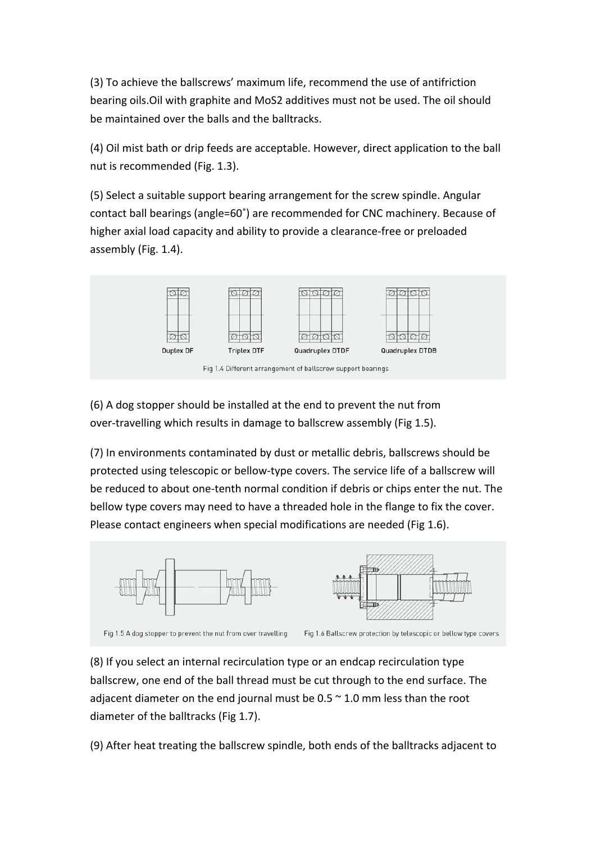(3) To achieve the ballscrews' maximum life, recommend the use of antifriction bearing oils.Oil with graphite and MoS2 additives must not be used. The oil should be maintained over the balls and the balltracks.

(4) Oil mist bath or drip feeds are acceptable. However, direct application to the ball nut is recommended (Fig. 1.3).

(5) Select a suitable support bearing arrangement for the screw spindle. Angular contact ball bearings (angle=60˚) are recommended for CNC machinery. Because of higher axial load capacity and ability to provide a clearance-free or preloaded assembly (Fig. 1.4).



(6) A dog stopper should be installed at the end to prevent the nut from over‐travelling which results in damage to ballscrew assembly (Fig 1.5).

(7) In environments contaminated by dust or metallic debris, ballscrews should be protected using telescopic or bellow‐type covers. The service life of a ballscrew will be reduced to about one‐tenth normal condition if debris or chips enter the nut. The bellow type covers may need to have a threaded hole in the flange to fix the cover. Please contact engineers when special modifications are needed (Fig 1.6).



(8) If you select an internal recirculation type or an endcap recirculation type ballscrew, one end of the ball thread must be cut through to the end surface. The adjacent diameter on the end journal must be  $0.5 \approx 1.0$  mm less than the root diameter of the balltracks (Fig 1.7).

(9) After heat treating the ballscrew spindle, both ends of the balltracks adjacent to